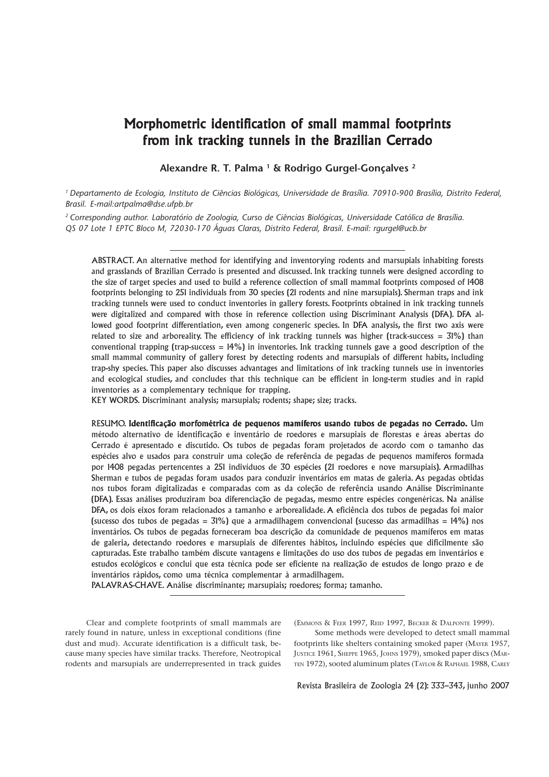# Morphometric identification of small mammal footprints from ink tracking tunnels in the Brazilian Cerrado

**Alexandre R. T. Palma 1 & Rodrigo Gurgel-Gonçalves 2**

*<sup>1</sup> Departamento de Ecologia, Instituto de Ciências Biológicas, Universidade de Brasília. 70910-900 Brasília, Distrito Federal, Brasil. E-mail:artpalma@dse.ufpb.br*

*<sup>2</sup> Corresponding author. Laboratório de Zoologia, Curso de Ciências Biológicas, Universidade Católica de Brasília. QS 07 Lote 1 EPTC Bloco M, 72030-170 Águas Claras, Distrito Federal, Brasil. E-mail: rgurgel@ucb.br*

ABSTRACT. An alternative method for identifying and inventorying rodents and marsupials inhabiting forests and grasslands of Brazilian Cerrado is presented and discussed. Ink tracking tunnels were designed according to the size of target species and used to build a reference collection of small mammal footprints composed of 1408 footprints belonging to 251 individuals from 30 species (21 rodents and nine marsupials). Sherman traps and ink tracking tunnels were used to conduct inventories in gallery forests. Footprints obtained in ink tracking tunnels were digitalized and compared with those in reference collection using Discriminant Analysis (DFA). DFA allowed good footprint differentiation, even among congeneric species. In DFA analysis, the first two axis were related to size and arboreality. The efficiency of ink tracking tunnels was higher (track-success =  $31\%$ ) than conventional trapping (trap-success  $= 14\%$ ) in inventories. Ink tracking tunnels gave a good description of the small mammal community of gallery forest by detecting rodents and marsupials of different habits, including trap-shy species. This paper also discusses advantages and limitations of ink tracking tunnels use in inventories and ecological studies, and concludes that this technique can be efficient in long-term studies and in rapid inventories as a complementary technique for trapping.

KEY WORDS. Discriminant analysis; marsupials; rodents; shape; size; tracks.

RESUMO. Identificação morfométrica de pequenos mamíferos usando tubos de pegadas no Cerrado. Um método alternativo de identificação e inventário de roedores e marsupiais de florestas e áreas abertas do Cerrado é apresentado e discutido. Os tubos de pegadas foram projetados de acordo com o tamanho das espécies alvo e usados para construir uma coleção de referência de pegadas de pequenos mamíferos formada por 1408 pegadas pertencentes a 251 indivíduos de 30 espécies (21 roedores e nove marsupiais). Armadilhas Sherman e tubos de pegadas foram usados para conduzir inventários em matas de galeria. As pegadas obtidas nos tubos foram digitalizadas e comparadas com as da coleção de referência usando Análise Discriminante (DFA). Essas análises produziram boa diferenciação de pegadas, mesmo entre espécies congenéricas. Na análise DFA, os dois eixos foram relacionados a tamanho e arborealidade. A eficiência dos tubos de pegadas foi maior (sucesso dos tubos de pegadas =  $31\%$ ) que a armadilhagem convencional (sucesso das armadilhas =  $14\%$ ) nos inventários. Os tubos de pegadas forneceram boa descrição da comunidade de pequenos mamíferos em matas de galeria, detectando roedores e marsupiais de diferentes hábitos, incluindo espécies que dificilmente são capturadas. Este trabalho também discute vantagens e limitações do uso dos tubos de pegadas em inventários e estudos ecológicos e conclui que esta técnica pode ser eficiente na realização de estudos de longo prazo e de inventários rápidos, como uma técnica complementar à armadilhagem.

PALAVRAS-CHAVE. Análise discriminante; marsupiais; roedores; forma; tamanho.

Clear and complete footprints of small mammals are rarely found in nature, unless in exceptional conditions (fine dust and mud). Accurate identification is a difficult task, because many species have similar tracks. Therefore, Neotropical rodents and marsupials are underrepresented in track guides

(EMMONS & FEER 1997, REID 1997, BECKER & DALPONTE 1999).

Some methods were developed to detect small mammal footprints like shelters containing smoked paper (MAYER 1957, JUSTICE 1961, SHEPPE 1965, JOHNS 1979), smoked paper discs (MAR-TEN 1972), sooted aluminum plates (TAYLOR & RAPHAEL 1988, CAREY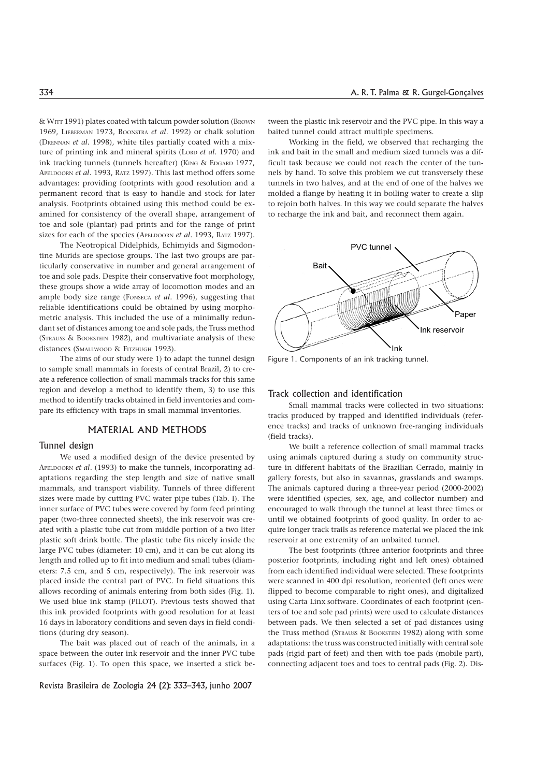& WITT 1991) plates coated with talcum powder solution (BROWN 1969, LIEBERMAN 1973, BOONSTRA *et al*. 1992) or chalk solution (DRENNAN *et al*. 1998), white tiles partially coated with a mixture of printing ink and mineral spirits (LORD *et al*. 1970) and ink tracking tunnels (tunnels hereafter) (KING & EDGARD 1977, APELDOORN *et al*. 1993, RATZ 1997). This last method offers some advantages: providing footprints with good resolution and a permanent record that is easy to handle and stock for later analysis. Footprints obtained using this method could be examined for consistency of the overall shape, arrangement of toe and sole (plantar) pad prints and for the range of print sizes for each of the species (APELDOORN *et al*. 1993, RATZ 1997).

The Neotropical Didelphids, Echimyids and Sigmodontine Murids are speciose groups. The last two groups are particularly conservative in number and general arrangement of toe and sole pads. Despite their conservative foot morphology, these groups show a wide array of locomotion modes and an ample body size range (FONSECA *et al*. 1996), suggesting that reliable identifications could be obtained by using morphometric analysis. This included the use of a minimally redundant set of distances among toe and sole pads, the Truss method (STRAUSS & BOOKSTEIN 1982), and multivariate analysis of these distances (SMALLWOOD & FITZHUGH 1993).

The aims of our study were 1) to adapt the tunnel design to sample small mammals in forests of central Brazil, 2) to create a reference collection of small mammals tracks for this same region and develop a method to identify them, 3) to use this method to identify tracks obtained in field inventories and compare its efficiency with traps in small mammal inventories.

## MATERIAL AND METHODS

#### Tunnel design

We used a modified design of the device presented by APELDOORN *et al*. (1993) to make the tunnels, incorporating adaptations regarding the step length and size of native small mammals, and transport viability. Tunnels of three different sizes were made by cutting PVC water pipe tubes (Tab. I). The inner surface of PVC tubes were covered by form feed printing paper (two-three connected sheets), the ink reservoir was created with a plastic tube cut from middle portion of a two liter plastic soft drink bottle. The plastic tube fits nicely inside the large PVC tubes (diameter: 10 cm), and it can be cut along its length and rolled up to fit into medium and small tubes (diameters: 7.5 cm, and 5 cm, respectively). The ink reservoir was placed inside the central part of PVC. In field situations this allows recording of animals entering from both sides (Fig. 1). We used blue ink stamp (PILOT). Previous tests showed that this ink provided footprints with good resolution for at least 16 days in laboratory conditions and seven days in field conditions (during dry season).

The bait was placed out of reach of the animals, in a space between the outer ink reservoir and the inner PVC tube surfaces (Fig. 1). To open this space, we inserted a stick be-

Revista Brasileira de Zoologia 24 (2): 333–343, junho 2007

tween the plastic ink reservoir and the PVC pipe. In this way a baited tunnel could attract multiple specimens.

Working in the field, we observed that recharging the ink and bait in the small and medium sized tunnels was a difficult task because we could not reach the center of the tunnels by hand. To solve this problem we cut transversely these tunnels in two halves, and at the end of one of the halves we molded a flange by heating it in boiling water to create a slip to rejoin both halves. In this way we could separate the halves to recharge the ink and bait, and reconnect them again.



Figure 1. Components of an ink tracking tunnel.

## Track collection and identification

Small mammal tracks were collected in two situations: tracks produced by trapped and identified individuals (reference tracks) and tracks of unknown free-ranging individuals (field tracks).

We built a reference collection of small mammal tracks using animals captured during a study on community structure in different habitats of the Brazilian Cerrado, mainly in gallery forests, but also in savannas, grasslands and swamps. The animals captured during a three-year period (2000-2002) were identified (species, sex, age, and collector number) and encouraged to walk through the tunnel at least three times or until we obtained footprints of good quality. In order to acquire longer track trails as reference material we placed the ink reservoir at one extremity of an unbaited tunnel.

The best footprints (three anterior footprints and three posterior footprints, including right and left ones) obtained from each identified individual were selected. These footprints were scanned in 400 dpi resolution, reoriented (left ones were flipped to become comparable to right ones), and digitalized using Carta Linx software. Coordinates of each footprint (centers of toe and sole pad prints) were used to calculate distances between pads. We then selected a set of pad distances using the Truss method (STRAUSS & BOOKSTEIN 1982) along with some adaptations: the truss was constructed initially with central sole pads (rigid part of feet) and then with toe pads (mobile part), connecting adjacent toes and toes to central pads (Fig. 2). Dis-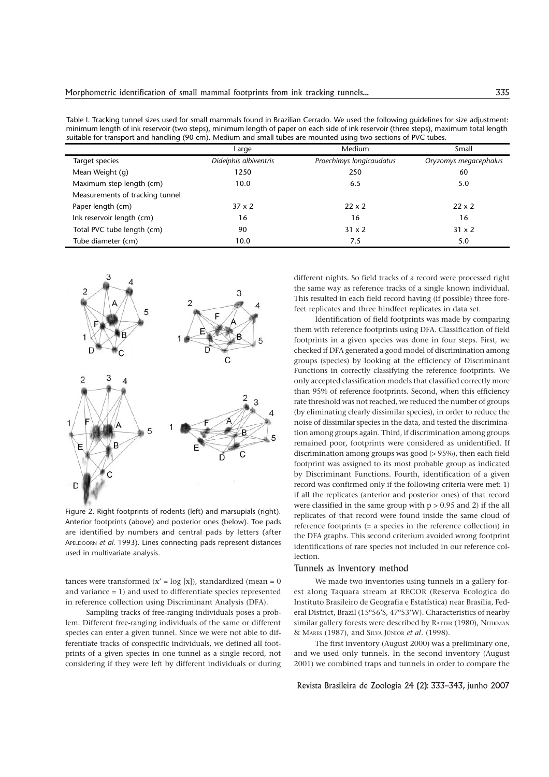Table I. Tracking tunnel sizes used for small mammals found in Brazilian Cerrado. We used the following guidelines for size adjustment: minimum length of ink reservoir (two steps), minimum length of paper on each side of ink reservoir (three steps), maximum total length suitable for transport and handling (90 cm). Medium and small tubes are mounted using two sections of PVC tubes.

|                                 | Large                 | Medium                   | Small                 |
|---------------------------------|-----------------------|--------------------------|-----------------------|
| Target species                  | Didelphis albiventris | Proechimys longicaudatus | Oryzomys megacephalus |
| Mean Weight (g)                 | 1250                  | 250                      | 60                    |
| Maximum step length (cm)        | 10.0                  | 6.5                      | 5.0                   |
| Measurements of tracking tunnel |                       |                          |                       |
| Paper length (cm)               | $37 \times 2$         | $22 \times 2$            | $22 \times 2$         |
| Ink reservoir length (cm)       | 16                    | 16                       | 16                    |
| Total PVC tube length (cm)      | 90                    | $31 \times 2$            | $31 \times 2$         |
| Tube diameter (cm)              | 10.0                  | 7.5                      | 5.0                   |



Figure 2. Right footprints of rodents (left) and marsupials (right). Anterior footprints (above) and posterior ones (below). Toe pads are identified by numbers and central pads by letters (after APELDOORN *et al.* 1993). Lines connecting pads represent distances used in multivariate analysis.

tances were transformed  $(x' = log [x])$ , standardized (mean = 0) and variance = 1) and used to differentiate species represented in reference collection using Discriminant Analysis (DFA).

Sampling tracks of free-ranging individuals poses a problem. Different free-ranging individuals of the same or different species can enter a given tunnel. Since we were not able to differentiate tracks of conspecific individuals, we defined all footprints of a given species in one tunnel as a single record, not considering if they were left by different individuals or during different nights. So field tracks of a record were processed right the same way as reference tracks of a single known individual. This resulted in each field record having (if possible) three forefeet replicates and three hindfeet replicates in data set.

Identification of field footprints was made by comparing them with reference footprints using DFA. Classification of field footprints in a given species was done in four steps. First, we checked if DFA generated a good model of discrimination among groups (species) by looking at the efficiency of Discriminant Functions in correctly classifying the reference footprints. We only accepted classification models that classified correctly more than 95% of reference footprints. Second, when this efficiency rate threshold was not reached, we reduced the number of groups (by eliminating clearly dissimilar species), in order to reduce the noise of dissimilar species in the data, and tested the discrimination among groups again. Third, if discrimination among groups remained poor, footprints were considered as unidentified. If discrimination among groups was good (> 95%), then each field footprint was assigned to its most probable group as indicated by Discriminant Functions. Fourth, identification of a given record was confirmed only if the following criteria were met: 1) if all the replicates (anterior and posterior ones) of that record were classified in the same group with  $p > 0.95$  and 2) if the all replicates of that record were found inside the same cloud of reference footprints (= a species in the reference collection) in the DFA graphs. This second criterium avoided wrong footprint identifications of rare species not included in our reference collection.

## Tunnels as inventory method

We made two inventories using tunnels in a gallery forest along Taquara stream at RECOR (Reserva Ecologica do Instituto Brasileiro de Geografia e Estatística) near Brasília, Federal District, Brazil (15º56'S, 47º53'W). Characteristics of nearby similar gallery forests were described by RATTER (1980), NITIKMAN & MARES (1987), and SILVA JÚNIOR *et al*. (1998).

The first inventory (August 2000) was a preliminary one, and we used only tunnels. In the second inventory (August 2001) we combined traps and tunnels in order to compare the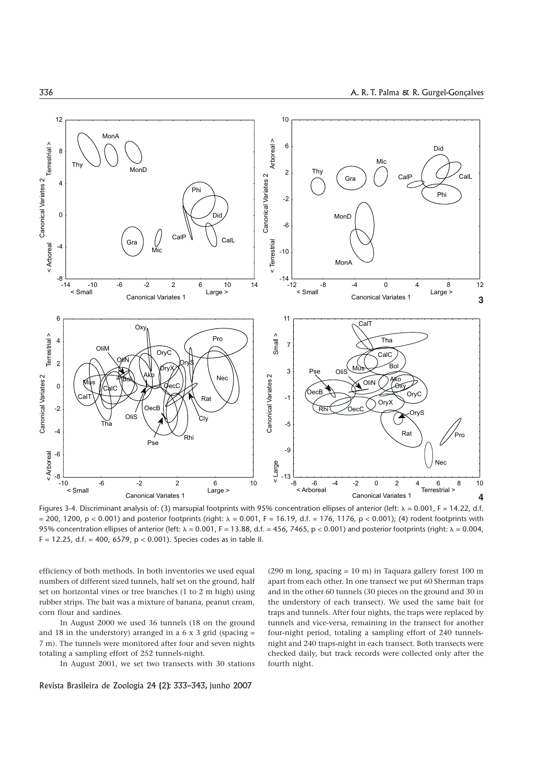

Figures 3-4. Discriminant analysis of: (3) marsupial footprints with 95% concentration ellipses of anterior (left:  $\lambda = 0.001$ , F = 14.22, d.f.  $= 200, 1200, p < 0.001$  and posterior footprints (right:  $\lambda = 0.001, F = 16.19, df = 176, 1176, p < 0.001$ ); (4) rodent footprints with 95% concentration ellipses of anterior (left:  $\lambda = 0.001$ , F = 13.88, d.f. = 456, 7465, p < 0.001) and posterior footprints (right:  $\lambda = 0.004$ ,  $F = 12.25$ , d.f. = 400, 6579,  $p < 0.001$ ). Species codes as in table II.

efficiency of both methods. In both inventories we used equal numbers of different sized tunnels, half set on the ground, half set on horizontal vines or tree branches (1 to 2 m high) using rubber strips. The bait was a mixture of banana, peanut cream, corn flour and sardines.

In August 2000 we used 36 tunnels (18 on the ground and 18 in the understory) arranged in a  $6 \times 3$  grid (spacing = 7 m). The tunnels were monitored after four and seven nights totaling a sampling effort of 252 tunnels-night.

In August 2001, we set two transects with 30 stations

(290 m long, spacing = 10 m) in Taquara gallery forest 100 m apart from each other. In one transect we put 60 Sherman traps and in the other 60 tunnels (30 pieces on the ground and 30 in the understory of each transect). We used the same bait for traps and tunnels. After four nights, the traps were replaced by tunnels and vice-versa, remaining in the transect for another four-night period, totaling a sampling effort of 240 tunnelsnight and 240 traps-night in each transect. Both transects were checked daily, but track records were collected only after the fourth night.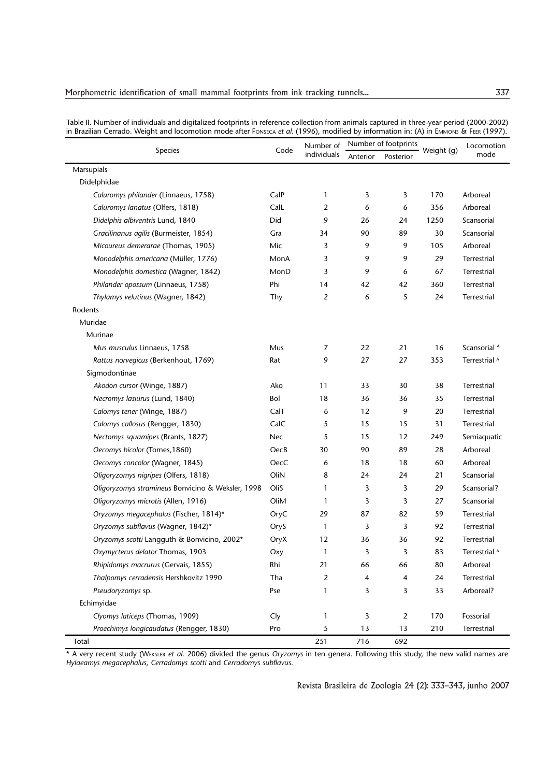| Species                                           |      | Number of      | Number of footprints |           |            | Locomotion               |
|---------------------------------------------------|------|----------------|----------------------|-----------|------------|--------------------------|
|                                                   |      | individuals    | Anterior             | Posterior | Weight (g) | mode                     |
| Marsupials                                        |      |                |                      |           |            |                          |
| Didelphidae                                       |      |                |                      |           |            |                          |
| Caluromys philander (Linnaeus, 1758)              | CalP | 1              | 3                    | 3         | 170        | Arboreal                 |
| Caluromys lanatus (Olfers, 1818)                  | CalL | $\overline{2}$ | 6                    | 6         | 356        | Arboreal                 |
| Didelphis albiventris Lund, 1840                  | Did  | 9              | 26                   | 24        | 1250       | Scansorial               |
| Gracilinanus agilis (Burmeister, 1854)            | Gra  | 34             | 90                   | 89        | 30         | Scansorial               |
| Micoureus demerarae (Thomas, 1905)                | Mic  | 3              | 9                    | 9         | 105        | Arboreal                 |
| Monodelphis americana (Müller, 1776)              | MonA | 3              | 9                    | 9         | 29         | Terrestrial              |
| Monodelphis domestica (Wagner, 1842)              | MonD | 3              | 9                    | 6         | 67         | Terrestrial              |
| Philander opossum (Linnaeus, 1758)                | Phi  | 14             | 42                   | 42        | 360        | Terrestrial              |
| Thylamys velutinus (Wagner, 1842)                 | Thy  | 2              | 6                    | 5         | 24         | Terrestrial              |
| Rodents                                           |      |                |                      |           |            |                          |
| Muridae                                           |      |                |                      |           |            |                          |
| Murinae                                           |      |                |                      |           |            |                          |
| Mus musculus Linnaeus, 1758                       | Mus  | 7              | 22                   | 21        | 16         | Scansorial <sup>A</sup>  |
| Rattus norvegicus (Berkenhout, 1769)              | Rat  | 9              | 27                   | 27        | 353        | Terrestrial A            |
| Sigmodontinae                                     |      |                |                      |           |            |                          |
| Akodon cursor (Winge, 1887)                       | Ako  | 11             | 33                   | 30        | 38         | Terrestrial              |
| Necromys lasiurus (Lund, 1840)                    | Bol  | 18             | 36                   | 36        | 35         | Terrestrial              |
| Calomys tener (Winge, 1887)                       | CalT | 6              | 12                   | 9         | 20         | Terrestrial              |
| Calomys callosus (Rengger, 1830)                  | CalC | 5              | 15                   | 15        | 31         | Terrestrial              |
| Nectomys squamipes (Brants, 1827)                 | Nec  | 5              | 15                   | 12        | 249        | Semiaquatic              |
| Oecomys bicolor (Tomes, 1860)                     | OecB | 30             | 90                   | 89        | 28         | Arboreal                 |
| Oecomys concolor (Wagner, 1845)                   | OecC | 6              | 18                   | 18        | 60         | Arboreal                 |
| Oligoryzomys nigripes (Olfers, 1818)              | OliN | 8              | 24                   | 24        | 21         | Scansorial               |
| Oligoryzomys stramineus Bonvicino & Weksler, 1998 | OliS | 1              | 3                    | 3         | 29         | Scansorial?              |
| Oligoryzomys microtis (Allen, 1916)               | OliM | 1              | 3                    | 3         | 27         | Scansorial               |
| Oryzomys megacephalus (Fischer, 1814)*            | OryC | 29             | 87                   | 82        | 59         | Terrestrial              |
| Oryzomys subflavus (Wagner, 1842)*                | OryS | $\mathbf{1}$   | 3                    | 3         | 92         | <b>Terrestrial</b>       |
| Oryzomys scotti Langguth & Bonvicino, 2002*       | OryX | 12             | 36                   | 36        | 92         | Terrestrial              |
| Oxymycterus delator Thomas, 1903                  | Oxy  | 1              | 3                    | 3         | 83         | Terrestrial <sup>A</sup> |
| Rhipidomys macrurus (Gervais, 1855)               | Rhi  | 21             | 66                   | 66        | 80         | Arboreal                 |
| Thalpomys cerradensis Hershkovitz 1990            | Tha  | $\overline{2}$ | 4                    | 4         | 24         | Terrestrial              |
| Pseudoryzomys sp.                                 | Pse  | 1              | 3                    | 3         | 33         | Arboreal?                |
| Echimyidae                                        |      |                |                      |           |            |                          |
| Clyomys laticeps (Thomas, 1909)                   | Cly  | 1              | 3                    | 2         | 170        | Fossorial                |
| Proechimys longicaudatus (Rengger, 1830)          | Pro  | 5              | 13                   | 13        | 210        | Terrestrial              |

Table II. Number of individuals and digitalized footprints in reference collection from animals captured in three-year period (2000-2002) in Brazilian Cerrado. Weight and locomotion mode after Fonseca et al. (1996), modified by information in: (A) in EMMONS & FEER (1997).

\* A very recent study (WEKSLER *et al.* 2006) divided the genus *Oryzomys* in ten genera. Following this study, the new valid names are *Hylaeamys megacephalus*, *Cerradomys scotti* and *Cerradomys subflavus*.

Total 251 716 692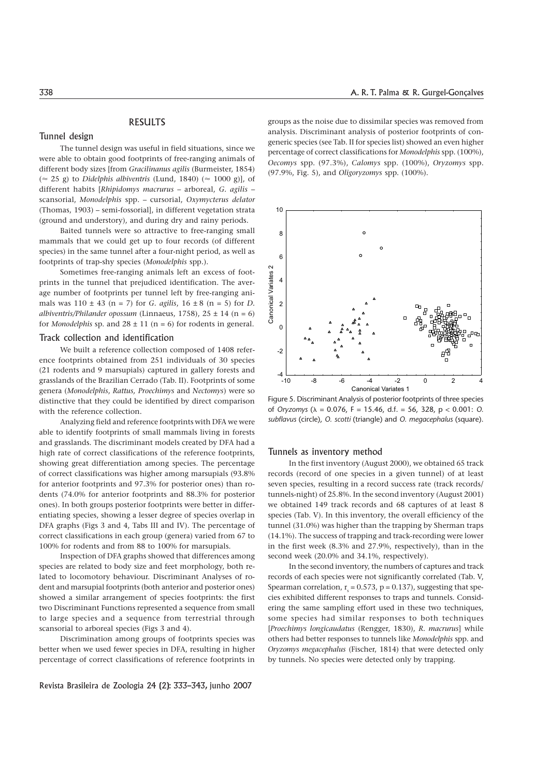#### **RESULTS**

## Tunnel design

The tunnel design was useful in field situations, since we were able to obtain good footprints of free-ranging animals of different body sizes [from *Gracilinanus agilis* (Burmeister, 1854) ( $\approx$  25 g) to *Didelphis albiventris* (Lund, 1840) ( $\approx$  1000 g)], of different habits [*Rhipidomys macrurus* – arboreal, *G. agilis –* scansorial, *Monodelphis* spp. *–* cursorial, *Oxymycterus delator* (Thomas, 1903) – semi-fossorial], in different vegetation strata (ground and understory), and during dry and rainy periods.

Baited tunnels were so attractive to free-ranging small mammals that we could get up to four records (of different species) in the same tunnel after a four-night period, as well as footprints of trap-shy species (*Monodelphis* spp*.*).

Sometimes free-ranging animals left an excess of footprints in the tunnel that prejudiced identification. The average number of footprints per tunnel left by free-ranging animals was  $110 \pm 43$  (n = 7) for *G. agilis*,  $16 \pm 8$  (n = 5) for *D. albiventris/Philander opossum* (Linnaeus, 1758), 25 ± 14 (n *=* 6) for *Monodelphis* sp. and  $28 \pm 11$  (n = 6) for rodents in general.

# Track collection and identification

We built a reference collection composed of 1408 reference footprints obtained from 251 individuals of 30 species (21 rodents and 9 marsupials) captured in gallery forests and grasslands of the Brazilian Cerrado (Tab. II). Footprints of some genera (*Monodelphis*, *Rattus, Proechimys* and *Nectomys*) were so distinctive that they could be identified by direct comparison with the reference collection.

Analyzing field and reference footprints with DFA we were able to identify footprints of small mammals living in forests and grasslands. The discriminant models created by DFA had a high rate of correct classifications of the reference footprints, showing great differentiation among species. The percentage of correct classifications was higher among marsupials (93.8% for anterior footprints and 97.3% for posterior ones) than rodents (74.0% for anterior footprints and 88.3% for posterior ones). In both groups posterior footprints were better in differentiating species, showing a lesser degree of species overlap in DFA graphs (Figs 3 and 4, Tabs III and IV). The percentage of correct classifications in each group (genera) varied from 67 to 100% for rodents and from 88 to 100% for marsupials.

Inspection of DFA graphs showed that differences among species are related to body size and feet morphology, both related to locomotory behaviour. Discriminant Analyses of rodent and marsupial footprints (both anterior and posterior ones) showed a similar arrangement of species footprints: the first two Discriminant Functions represented a sequence from small to large species and a sequence from terrestrial through scansorial to arboreal species (Figs 3 and 4).

Discrimination among groups of footprints species was better when we used fewer species in DFA, resulting in higher percentage of correct classifications of reference footprints in

Revista Brasileira de Zoologia 24 (2): 333–343, junho 2007

groups as the noise due to dissimilar species was removed from analysis. Discriminant analysis of posterior footprints of congeneric species (see Tab. II for species list) showed an even higher percentage of correct classifications for *Monodelphis* spp. (100%), *Oecomys* spp. (97.3%), *Calomys* spp. (100%), *Oryzomys* spp. (97.9%, Fig. 5), and *Oligoryzomys* spp. (100%).



Figure 5. Discriminant Analysis of posterior footprints of three species of *Oryzomys* ( $\lambda = 0.076$ , F = 15.46, d.f. = 56, 328, p < 0.001: O. *subflavus* (circle), *O. scotti* (triangle) and *O. megacephalus* (square).

#### Tunnels as inventory method

In the first inventory (August 2000), we obtained 65 track records (record of one species in a given tunnel) of at least seven species, resulting in a record success rate (track records/ tunnels-night) of 25.8%. In the second inventory (August 2001) we obtained 149 track records and 68 captures of at least 8 species (Tab. V). In this inventory, the overall efficiency of the tunnel (31.0%) was higher than the trapping by Sherman traps (14.1%). The success of trapping and track-recording were lower in the first week (8.3% and 27.9%, respectively), than in the second week (20.0% and 34.1%, respectively).

In the second inventory, the numbers of captures and track records of each species were not significantly correlated (Tab. V, Spearman correlation,  $r_s = 0.573$ , p = 0.137), suggesting that species exhibited different responses to traps and tunnels. Considering the same sampling effort used in these two techniques, some species had similar responses to both techniques [*Proechimys longicaudatus* (Rengger, 1830), *R. macrurus*] while others had better responses to tunnels like *Monodelphis* spp. and *Oryzomys megacephalus* (Fischer, 1814) that were detected only by tunnels. No species were detected only by trapping.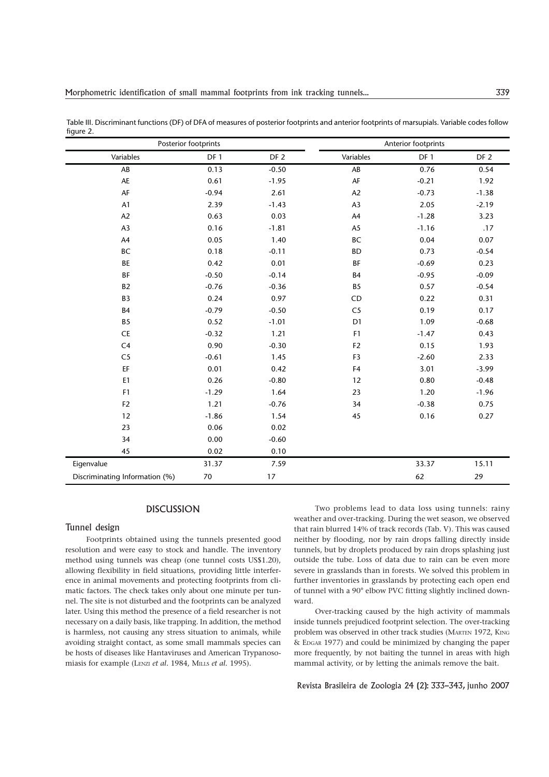|                                | Posterior footprints |                 |                | Anterior footprints |                 |
|--------------------------------|----------------------|-----------------|----------------|---------------------|-----------------|
| Variables                      | DF <sub>1</sub>      | DF <sub>2</sub> | Variables      | DF1                 | DF <sub>2</sub> |
| ${\sf AB}$                     | 0.13                 | $-0.50$         | ${\sf AB}$     | 0.76                | 0.54            |
| AE                             | 0.61                 | $-1.95$         | AF             | $-0.21$             | 1.92            |
| AF                             | $-0.94$              | 2.61            | A2             | $-0.73$             | $-1.38$         |
| A1                             | 2.39                 | $-1.43$         | A <sub>3</sub> | 2.05                | $-2.19$         |
| A2                             | 0.63                 | 0.03            | A4             | $-1.28$             | 3.23            |
| A3                             | 0.16                 | $-1.81$         | A5             | $-1.16$             | .17             |
| A4                             | 0.05                 | 1.40            | BC             | 0.04                | 0.07            |
| BC                             | 0.18                 | $-0.11$         | <b>BD</b>      | 0.73                | $-0.54$         |
| BE                             | 0.42                 | 0.01            | BF             | $-0.69$             | 0.23            |
| BF                             | $-0.50$              | $-0.14$         | <b>B4</b>      | $-0.95$             | $-0.09$         |
| <b>B2</b>                      | $-0.76$              | $-0.36$         | B <sub>5</sub> | 0.57                | $-0.54$         |
| B <sub>3</sub>                 | 0.24                 | 0.97            | CD             | 0.22                | 0.31            |
| <b>B4</b>                      | $-0.79$              | $-0.50$         | C <sub>5</sub> | 0.19                | 0.17            |
| B <sub>5</sub>                 | 0.52                 | $-1.01$         | D <sub>1</sub> | 1.09                | $-0.68$         |
| <b>CE</b>                      | $-0.32$              | 1.21            | F1             | $-1.47$             | 0.43            |
| C <sub>4</sub>                 | 0.90                 | $-0.30$         | F <sub>2</sub> | 0.15                | 1.93            |
| C <sub>5</sub>                 | $-0.61$              | 1.45            | F <sub>3</sub> | $-2.60$             | 2.33            |
| EF                             | 0.01                 | 0.42            | F4             | 3.01                | $-3.99$         |
| E1                             | 0.26                 | $-0.80$         | 12             | 0.80                | $-0.48$         |
| F <sub>1</sub>                 | $-1.29$              | 1.64            | 23             | 1.20                | $-1.96$         |
| ${\sf F2}$                     | 1.21                 | $-0.76$         | 34             | $-0.38$             | 0.75            |
| 12                             | $-1.86$              | 1.54            | 45             | 0.16                | 0.27            |
| 23                             | 0.06                 | 0.02            |                |                     |                 |
| 34                             | 0.00                 | $-0.60$         |                |                     |                 |
| 45                             | 0.02                 | 0.10            |                |                     |                 |
| Eigenvalue                     | 31.37                | 7.59            |                | 33.37               | 15.11           |
| Discriminating Information (%) | 70                   | 17              |                | 62                  | 29              |

Table III. Discriminant functions (DF) of DFA of measures of posterior footprints and anterior footprints of marsupials. Variable codes follow figure 2.

#### **DISCUSSION**

#### Tunnel design

Footprints obtained using the tunnels presented good resolution and were easy to stock and handle. The inventory method using tunnels was cheap (one tunnel costs US\$1.20), allowing flexibility in field situations, providing little interference in animal movements and protecting footprints from climatic factors. The check takes only about one minute per tunnel. The site is not disturbed and the footprints can be analyzed later. Using this method the presence of a field researcher is not necessary on a daily basis, like trapping. In addition, the method is harmless, not causing any stress situation to animals, while avoiding straight contact, as some small mammals species can be hosts of diseases like Hantaviruses and American Trypanosomiasis for example (LENZI *et al.* 1984, MILLS *et al.* 1995).

Two problems lead to data loss using tunnels: rainy weather and over-tracking. During the wet season, we observed that rain blurred 14% of track records (Tab. V). This was caused neither by flooding, nor by rain drops falling directly inside tunnels, but by droplets produced by rain drops splashing just outside the tube. Loss of data due to rain can be even more severe in grasslands than in forests. We solved this problem in further inventories in grasslands by protecting each open end of tunnel with a 90° elbow PVC fitting slightly inclined downward.

Over-tracking caused by the high activity of mammals inside tunnels prejudiced footprint selection. The over-tracking problem was observed in other track studies (MARTEN 1972, KING & EDGAR 1977) and could be minimized by changing the paper more frequently, by not baiting the tunnel in areas with high mammal activity, or by letting the animals remove the bait.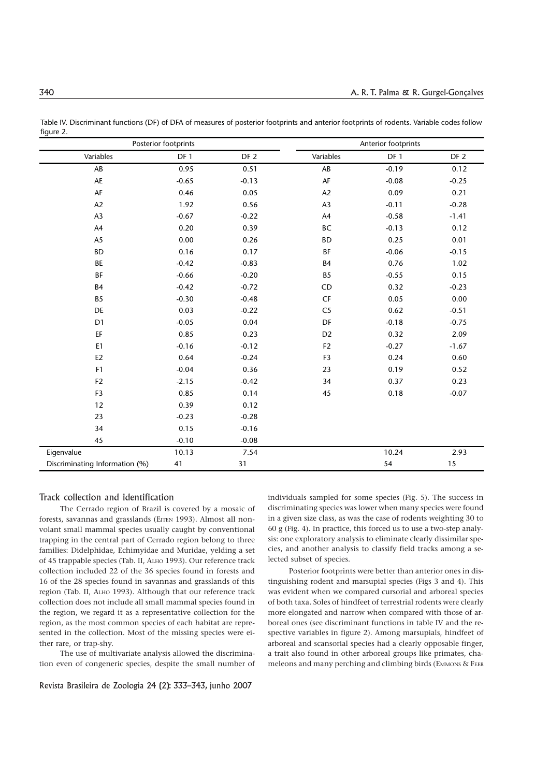|                                | Posterior footprints |                 |                | Anterior footprints |                 |
|--------------------------------|----------------------|-----------------|----------------|---------------------|-----------------|
| Variables                      | DF <sub>1</sub>      | DF <sub>2</sub> | Variables      | DF 1                | DF <sub>2</sub> |
| AB                             | 0.95                 | 0.51            | AB             | $-0.19$             | 0.12            |
| AE                             | $-0.65$              | $-0.13$         | AF             | $-0.08$             | $-0.25$         |
| AF                             | 0.46                 | 0.05            | A2             | 0.09                | 0.21            |
| A2                             | 1.92                 | 0.56            | A <sub>3</sub> | $-0.11$             | $-0.28$         |
| A <sub>3</sub>                 | $-0.67$              | $-0.22$         | A4             | $-0.58$             | $-1.41$         |
| A4                             | 0.20                 | 0.39            | <b>BC</b>      | $-0.13$             | 0.12            |
| A5                             | 0.00                 | 0.26            | <b>BD</b>      | 0.25                | 0.01            |
| <b>BD</b>                      | 0.16                 | 0.17            | BF             | $-0.06$             | $-0.15$         |
| BE                             | $-0.42$              | $-0.83$         | <b>B4</b>      | 0.76                | 1.02            |
| BF                             | $-0.66$              | $-0.20$         | B <sub>5</sub> | $-0.55$             | 0.15            |
| <b>B4</b>                      | $-0.42$              | $-0.72$         | CD             | 0.32                | $-0.23$         |
| B <sub>5</sub>                 | $-0.30$              | $-0.48$         | CF             | 0.05                | 0.00            |
| DE                             | 0.03                 | $-0.22$         | C <sub>5</sub> | 0.62                | $-0.51$         |
| D <sub>1</sub>                 | $-0.05$              | 0.04            | DF             | $-0.18$             | $-0.75$         |
| EF                             | 0.85                 | 0.23            | D <sub>2</sub> | 0.32                | 2.09            |
| E1                             | $-0.16$              | $-0.12$         | F <sub>2</sub> | $-0.27$             | $-1.67$         |
| E <sub>2</sub>                 | 0.64                 | $-0.24$         | F <sub>3</sub> | 0.24                | 0.60            |
| F <sub>1</sub>                 | $-0.04$              | 0.36            | 23             | 0.19                | 0.52            |
| F <sub>2</sub>                 | $-2.15$              | $-0.42$         | 34             | 0.37                | 0.23            |
| F <sub>3</sub>                 | 0.85                 | 0.14            | 45             | 0.18                | $-0.07$         |
| 12                             | 0.39                 | 0.12            |                |                     |                 |
| 23                             | $-0.23$              | $-0.28$         |                |                     |                 |
| 34                             | 0.15                 | $-0.16$         |                |                     |                 |
| 45                             | $-0.10$              | $-0.08$         |                |                     |                 |
| Eigenvalue                     | 10.13                | 7.54            |                | 10.24               | 2.93            |
| Discriminating Information (%) | 41                   | 31              |                | 54                  | 15              |

Table IV. Discriminant functions (DF) of DFA of measures of posterior footprints and anterior footprints of rodents. Variable codes follow figure 2

## Track collection and identification

The Cerrado region of Brazil is covered by a mosaic of forests, savannas and grasslands (EITEN 1993). Almost all nonvolant small mammal species usually caught by conventional trapping in the central part of Cerrado region belong to three families: Didelphidae, Echimyidae and Muridae, yelding a set of 45 trappable species (Tab. II, ALHO 1993). Our reference track collection included 22 of the 36 species found in forests and 16 of the 28 species found in savannas and grasslands of this region (Tab. II, ALHO 1993). Although that our reference track collection does not include all small mammal species found in the region, we regard it as a representative collection for the region, as the most common species of each habitat are represented in the collection. Most of the missing species were either rare, or trap-shy.

The use of multivariate analysis allowed the discrimination even of congeneric species, despite the small number of

Revista Brasileira de Zoologia 24 (2): 333–343, junho 2007

individuals sampled for some species (Fig. 5). The success in discriminating species was lower when many species were found in a given size class, as was the case of rodents weighting 30 to 60 g (Fig. 4). In practice, this forced us to use a two-step analysis: one exploratory analysis to eliminate clearly dissimilar species, and another analysis to classify field tracks among a selected subset of species.

Posterior footprints were better than anterior ones in distinguishing rodent and marsupial species (Figs 3 and 4). This was evident when we compared cursorial and arboreal species of both taxa. Soles of hindfeet of terrestrial rodents were clearly more elongated and narrow when compared with those of arboreal ones (see discriminant functions in table IV and the respective variables in figure 2). Among marsupials, hindfeet of arboreal and scansorial species had a clearly opposable finger, a trait also found in other arboreal groups like primates, chameleons and many perching and climbing birds (EMMONS & FEER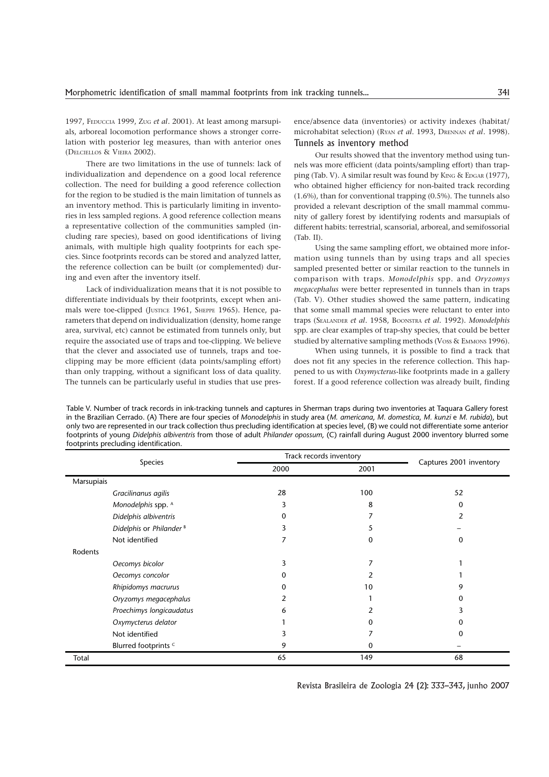1997, FEDUCCIA 1999, ZUG *et al*. 2001). At least among marsupials, arboreal locomotion performance shows a stronger correlation with posterior leg measures, than with anterior ones (DELCIELLOS & VIEIRA 2002).

There are two limitations in the use of tunnels: lack of individualization and dependence on a good local reference collection. The need for building a good reference collection for the region to be studied is the main limitation of tunnels as an inventory method. This is particularly limiting in inventories in less sampled regions. A good reference collection means a representative collection of the communities sampled (including rare species), based on good identifications of living animals, with multiple high quality footprints for each species. Since footprints records can be stored and analyzed latter, the reference collection can be built (or complemented) during and even after the inventory itself.

Lack of individualization means that it is not possible to differentiate individuals by their footprints, except when animals were toe-clipped (JUSTICE 1961, SHEPPE 1965). Hence, parameters that depend on individualization (density, home range area, survival, etc) cannot be estimated from tunnels only, but require the associated use of traps and toe-clipping. We believe that the clever and associated use of tunnels, traps and toeclipping may be more efficient (data points/sampling effort) than only trapping, without a significant loss of data quality. The tunnels can be particularly useful in studies that use presence/absence data (inventories) or activity indexes (habitat/ microhabitat selection) (RYAN *et al*. 1993, DRENNAN *et al*. 1998). Tunnels as inventory method

Our results showed that the inventory method using tunnels was more efficient (data points/sampling effort) than trapping (Tab. V). A similar result was found by KING & EDGAR (1977), who obtained higher efficiency for non-baited track recording (1.6%), than for conventional trapping (0.5%). The tunnels also provided a relevant description of the small mammal community of gallery forest by identifying rodents and marsupials of different habits: terrestrial, scansorial, arboreal, and semifossorial (Tab. II).

Using the same sampling effort, we obtained more information using tunnels than by using traps and all species sampled presented better or similar reaction to the tunnels in comparison with traps. *Monodelphis* spp. and *Oryzomys megacephalus* were better represented in tunnels than in traps (Tab. V). Other studies showed the same pattern, indicating that some small mammal species were reluctant to enter into traps (SEALANDER *et al*. 1958, BOONSTRA *et al.* 1992). *Monodelphis* spp. are clear examples of trap-shy species, that could be better studied by alternative sampling methods (Voss & EMMONS 1996).

When using tunnels, it is possible to find a track that does not fit any species in the reference collection. This happened to us with *Oxymycterus*-like footprints made in a gallery forest. If a good reference collection was already built, finding

Table V. Number of track records in ink-tracking tunnels and captures in Sherman traps during two inventories at Taquara Gallery forest in the Brazilian Cerrado. (A) There are four species of *Monodelphis* in study area (*M. americana*, *M. domestica*, *M. kunzi* e *M. rubida*), but only two are represented in our track collection thus precluding identification at species level, (B) we could not differentiate some anterior footprints of young *Didelphis albiventris* from those of adult *Philander opossum*, (C) rainfall during August 2000 inventory blurred some footprints precluding identification.

|                                     | Track records inventory |      |                         |
|-------------------------------------|-------------------------|------|-------------------------|
| Species                             | 2000                    | 2001 | Captures 2001 inventory |
| Marsupiais                          |                         |      |                         |
| Gracilinanus agilis                 | 28                      | 100  | 52                      |
| Monodelphis spp. A                  | 3                       | 8    | 0                       |
| Didelphis albiventris               | 0                       |      | 2                       |
| Didelphis or Philander <sup>8</sup> | 3                       | 5    |                         |
| Not identified                      |                         | 0    | $\Omega$                |
| Rodents                             |                         |      |                         |
| Oecomys bicolor                     | 3                       |      |                         |
| Oecomys concolor                    | $\Omega$                | 2    |                         |
| Rhipidomys macrurus                 | 0                       | 10   | 9                       |
| Oryzomys megacephalus               |                         |      | 0                       |
| Proechimys longicaudatus            | 6                       | 2    |                         |
| Oxymycterus delator                 |                         | 0    | 0                       |
| Not identified                      | 3                       |      | $\Omega$                |
| Blurred footprints <sup>c</sup>     | 9                       | 0    |                         |
| Total                               | 65                      | 149  | 68                      |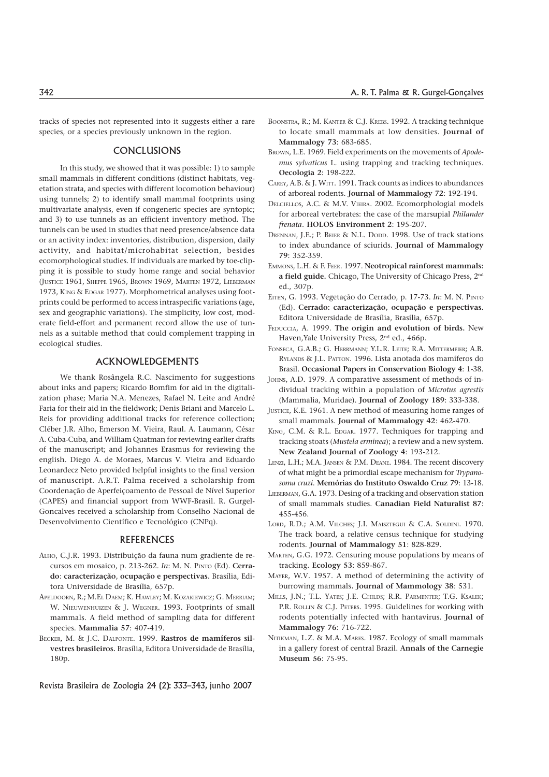tracks of species not represented into it suggests either a rare species, or a species previously unknown in the region.

# CONCLUSIONS

In this study, we showed that it was possible: 1) to sample small mammals in different conditions (distinct habitats, vegetation strata, and species with different locomotion behaviour) using tunnels; 2) to identify small mammal footprints using multivariate analysis, even if congeneric species are syntopic; and 3) to use tunnels as an efficient inventory method. The tunnels can be used in studies that need presence/absence data or an activity index: inventories, distribution, dispersion, daily activity, and habitat/microhabitat selection, besides ecomorphological studies. If individuals are marked by toe-clipping it is possible to study home range and social behavior (JUSTICE 1961, SHEPPE 1965, BROWN 1969, MARTEN 1972, LIEBERMAN 1973, KING & EDGAR 1977). Morphometrical analyses using footprints could be performed to access intraspecific variations (age, sex and geographic variations). The simplicity, low cost, moderate field-effort and permanent record allow the use of tunnels as a suitable method that could complement trapping in ecological studies.

## ACKNOWLEDGEMENTS

We thank Rosângela R.C. Nascimento for suggestions about inks and papers; Ricardo Bomfim for aid in the digitalization phase; Maria N.A. Menezes, Rafael N. Leite and André Faria for their aid in the fieldwork; Denis Briani and Marcelo L. Reis for providing additional tracks for reference collection; Cléber J.R. Alho, Emerson M. Vieira, Raul. A. Laumann, César A. Cuba-Cuba, and William Quatman for reviewing earlier drafts of the manuscript; and Johannes Erasmus for reviewing the english. Diego A. de Moraes, Marcus V. Vieira and Eduardo Leonardecz Neto provided helpful insights to the final version of manuscript. A.R.T. Palma received a scholarship from Coordenação de Aperfeiçoamento de Pessoal de Nível Superior (CAPES) and financial support from WWF-Brasil. R. Gurgel-Goncalves received a scholarship from Conselho Nacional de Desenvolvimento Científico e Tecnológico (CNPq).

#### REFERENCES

- ALHO, C.J.R. 1993. Distribuição da fauna num gradiente de recursos em mosaico, p. 213-262. *In*: M. N. PINTO (Ed). **Cerrado**: **caracterização**, **ocupação e perspectivas.** Brasília, Editora Universidade de Brasília, 657p.
- APELDOORN, R.; M.EL DAEM; K. HAWLEY; M. KOZAKIEWICZ; G. MERRIAM; W. NIEUWENHUIZEN & J. WEGNER. 1993. Footprints of small mammals. A field method of sampling data for different species. **Mammalia 57**: 407-419.
- BECKER, M. & J.C. DALPONTE. 1999. **Rastros de mamíferos silvestres brasileiros.** Brasília, Editora Universidade de Brasília, 180p.

BOONSTRA, R.; M. KANTER & C.J. KREBS. 1992. A tracking technique to locate small mammals at low densities. **Journal of Mammalogy 73**: 683-685.

- BROWN, L.E. 1969. Field experiments on the movements of *Apodemus sylvaticus* L. using trapping and tracking techniques. **Oecologia 2**: 198-222.
- CAREY, A.B. & J. WITT. 1991. Track counts as indices to abundances of arboreal rodents. **Journal of Mammalogy 72**: 192-194.
- DELCIELLOS, A.C. & M.V. VIEIRA. 2002. Ecomorphologial models for arboreal vertebrates: the case of the marsupial *Philander frenata*. **HOLOS Environment 2**: 195-207.
- DRENNAN, J.E.; P. BEIER & N.L. DODD. 1998. Use of track stations to index abundance of sciurids. **Journal of Mammalogy 79**: 352-359.
- EMMONS, L.H. & F. FEER. 1997. **Neotropical rainforest mammals: a field guide.** Chicago, The University of Chicago Press, 2nd ed., 307p.
- EITEN, G. 1993. Vegetação do Cerrado, p. 17-73. *In*: M. N. PINTO (Ed). **Cerrado: caracterização, ocupação e perspectivas.** Editora Universidade de Brasília, Brasília, 657p.
- FEDUCCIA, A. 1999. **The origin and evolution of birds.** New Haven, Yale University Press, 2<sup>nd</sup> ed., 466p.
- FONSECA, G.A.B.; G. HERRMANN; Y.L.R. LEITE; R.A. MITTERMEIER; A.B. RYLANDS & J.L. PATTON. 1996. Lista anotada dos mamíferos do Brasil. **Occasional Papers in Conservation Biology 4**: 1-38.
- JOHNS, A.D. 1979. A comparative assessment of methods of individual tracking within a population of *Microtus agrestis* (Mammalia, Muridae). **Journal of Zoology 189**: 333-338.
- JUSTICE, K.E. 1961. A new method of measuring home ranges of small mammals. **Journal of Mammalogy 42**: 462-470.
- KING, C.M. & R.L. EDGAR. 1977. Techniques for trapping and tracking stoats (*Mustela erminea*); a review and a new system. **New Zealand Journal of Zoology 4**: 193-212.
- LENZI, L.H.; M.A. JANSEN & P.M. DEANE. 1984. The recent discovery of what might be a primordial escape mechanism for *Trypanosoma cruzi*. **Memórias do Instituto Oswaldo Cruz 79**: 13-18.
- LIEBERMAN, G.A. 1973. Desing of a tracking and observation station of small mammals studies. **Canadian Field Naturalist 87**: 455-456.
- LORD, R.D.; A.M. VILCHES; J.I. MAISZTEGUI & C.A. SOLDINI. 1970. The track board, a relative census technique for studying rodents. **Journal of Mammalogy 51**: 828-829.
- MARTEN, G.G. 1972. Censuring mouse populations by means of tracking. **Ecology 53**: 859-867.
- MAYER, W.V. 1957. A method of determining the activity of burrowing mammals**. Journal of Mammology 38**: 531.
- MILLS, J.N.; T.L. YATES; J.E. CHILDS; R.R. PARMENTER; T.G. KSALEK; P.R. ROLLIN & C.J. PETERS. 1995. Guidelines for working with rodents potentially infected with hantavirus. **Journal of Mammalogy 76**: 716-722.
- NITIKMAN, L.Z. & M.A. MARES. 1987. Ecology of small mammals in a gallery forest of central Brazil. **Annals of the Carnegie Museum 56**: 75-95.